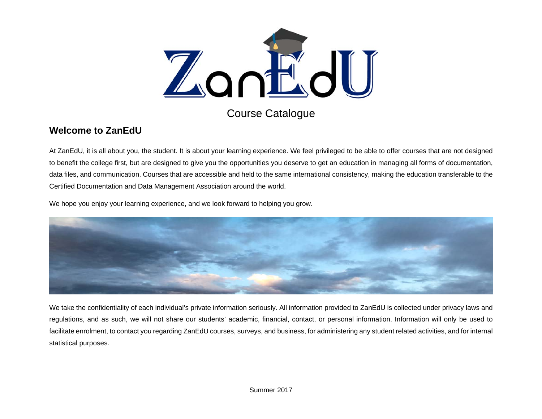

Course Catalogue

### **Welcome to ZanEdU**

At ZanEdU, it is all about you, the student. It is about your learning experience. We feel privileged to be able to offer courses that are not designed to benefit the college first, but are designed to give you the opportunities you deserve to get an education in managing all forms of documentation, data files, and communication. Courses that are accessible and held to the same international consistency, making the education transferable to the Certified Documentation and Data Management Association around the world.

We hope you enjoy your learning experience, and we look forward to helping you grow.



We take the confidentiality of each individual's private information seriously. All information provided to ZanEdU is collected under privacy laws and regulations, and as such, we will not share our students' academic, financial, contact, or personal information. Information will only be used to facilitate enrolment, to contact you regarding ZanEdU courses, surveys, and business, for administering any student related activities, and for internal statistical purposes.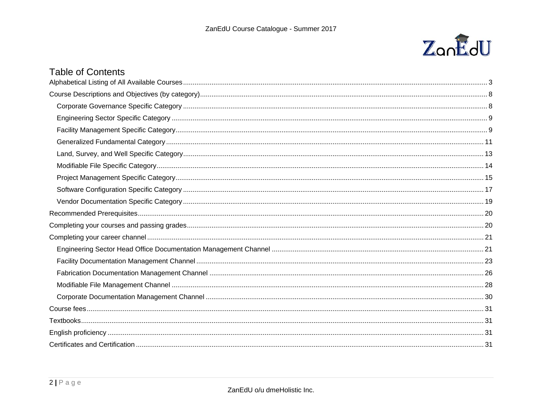

### **Table of Contents**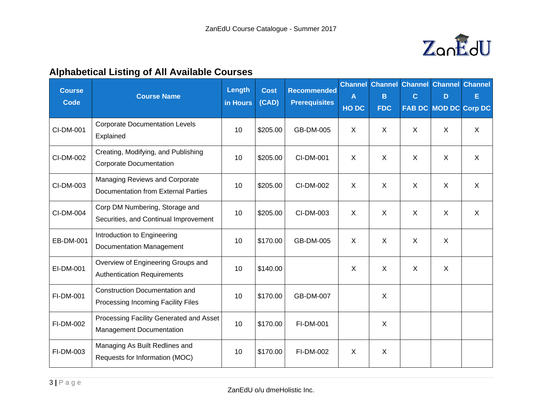

# **Alphabetical Listing of All Available Courses**

| <b>Course</b><br><b>Code</b> | <b>Course Name</b>                                                           | Length<br>in Hours | <b>Cost</b><br>(CAD) | <b>Recommended</b><br><b>Prerequisites</b> | $\mathsf{A}$<br>HO DC | B<br><b>FDC</b> | $\mathbf{C}$ | <b>Channel Channel Channel Channel Channel</b><br>D<br>FAB DC MOD DC Corp DC | E            |
|------------------------------|------------------------------------------------------------------------------|--------------------|----------------------|--------------------------------------------|-----------------------|-----------------|--------------|------------------------------------------------------------------------------|--------------|
| CI-DM-001                    | <b>Corporate Documentation Levels</b><br>Explained                           | 10                 | \$205.00             | GB-DM-005                                  | $\mathsf{X}$          | $\mathsf{X}$    | $\sf X$      | $\sf X$                                                                      | $\mathsf{X}$ |
| CI-DM-002                    | Creating, Modifying, and Publishing<br><b>Corporate Documentation</b>        | 10                 | \$205.00             | CI-DM-001                                  | $\mathsf{X}$          | X               | $\sf X$      | $\sf X$                                                                      | $\mathsf{X}$ |
| CI-DM-003                    | Managing Reviews and Corporate<br><b>Documentation from External Parties</b> | 10                 | \$205.00             | CI-DM-002                                  | $\mathsf{X}$          | $\pmb{\times}$  | $\sf X$      | X                                                                            | X            |
| CI-DM-004                    | Corp DM Numbering, Storage and<br>Securities, and Continual Improvement      | 10                 | \$205.00             | CI-DM-003                                  | $\mathsf{X}$          | $\pmb{\times}$  | X            | X                                                                            | X            |
| EB-DM-001                    | Introduction to Engineering<br><b>Documentation Management</b>               | 10                 | \$170.00             | GB-DM-005                                  | $\mathsf{X}$          | X               | X            | $\mathsf{X}$                                                                 |              |
| EI-DM-001                    | Overview of Engineering Groups and<br><b>Authentication Requirements</b>     | 10                 | \$140.00             |                                            | X                     | X               | $\mathsf{X}$ | $\mathsf{X}$                                                                 |              |
| FI-DM-001                    | <b>Construction Documentation and</b><br>Processing Incoming Facility Files  | 10                 | \$170.00             | GB-DM-007                                  |                       | $\mathsf{X}$    |              |                                                                              |              |
| FI-DM-002                    | Processing Facility Generated and Asset<br><b>Management Documentation</b>   | 10                 | \$170.00             | FI-DM-001                                  |                       | X               |              |                                                                              |              |
| FI-DM-003                    | Managing As Built Redlines and<br>Requests for Information (MOC)             | 10                 | \$170.00             | FI-DM-002                                  | $\sf X$               | $\mathsf{X}$    |              |                                                                              |              |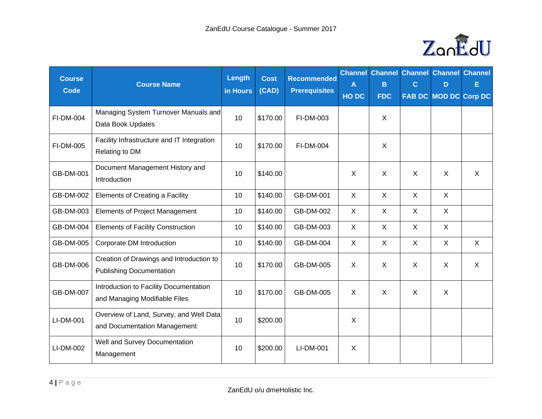

| <b>Course</b><br><b>Code</b> | <b>Course Name</b>                                                          | Length<br>in Hours | <b>Cost</b><br>(CAD) | <b>Recommended</b><br><b>Prerequisites</b> | $\mathsf{A}$<br>HO DC | <b>Channel Channel</b><br>B<br><b>FDC</b> | $\mathbf C$               | <b>Channel Channel Channel</b><br>D<br>FAB DC MOD DC Corp DC | E            |
|------------------------------|-----------------------------------------------------------------------------|--------------------|----------------------|--------------------------------------------|-----------------------|-------------------------------------------|---------------------------|--------------------------------------------------------------|--------------|
| FI-DM-004                    | Managing System Turnover Manuals and<br>Data Book Updates                   | 10                 | \$170.00             | FI-DM-003                                  |                       | $\sf X$                                   |                           |                                                              |              |
| FI-DM-005                    | Facility Infrastructure and IT Integration<br>Relating to DM                | 10                 | \$170.00             | FI-DM-004                                  |                       | $\sf X$                                   |                           |                                                              |              |
| GB-DM-001                    | Document Management History and<br>Introduction                             | 10                 | \$140.00             |                                            | X                     | X                                         | $\times$                  | $\sf X$                                                      | $\mathsf{X}$ |
| GB-DM-002                    | Elements of Creating a Facility                                             | 10                 | \$140.00             | GB-DM-001                                  | X                     | X                                         | X                         | X                                                            |              |
| GB-DM-003                    | <b>Elements of Project Management</b>                                       | 10                 | \$140.00             | GB-DM-002                                  | X                     | X                                         | $\sf X$                   | $\mathsf{X}$                                                 |              |
| GB-DM-004                    | <b>Elements of Facility Construction</b>                                    | 10                 | \$140.00             | GB-DM-003                                  | X                     | X                                         | X                         | $\mathsf{X}$                                                 |              |
| GB-DM-005                    | Corporate DM Introduction                                                   | 10                 | \$140.00             | GB-DM-004                                  | X                     | X                                         | $\boldsymbol{\mathsf{X}}$ | $\sf X$                                                      | $\mathsf{X}$ |
| GB-DM-006                    | Creation of Drawings and Introduction to<br><b>Publishing Documentation</b> | 10                 | \$170.00             | GB-DM-005                                  | $\mathsf{X}$          | $\sf X$                                   | $\boldsymbol{\mathsf{X}}$ | $\sf X$                                                      | $\mathsf{X}$ |
| GB-DM-007                    | Introduction to Facility Documentation<br>and Managing Modifiable Files     | 10                 | \$170.00             | GB-DM-005                                  | X                     | X                                         | $\boldsymbol{\mathsf{X}}$ | X                                                            |              |
| LI-DM-001                    | Overview of Land, Survey, and Well Data<br>and Documentation Management     | 10                 | \$200.00             |                                            | X                     |                                           |                           |                                                              |              |
| LI-DM-002                    | Well and Survey Documentation<br>Management                                 | 10                 | \$200.00             | LI-DM-001                                  | X                     |                                           |                           |                                                              |              |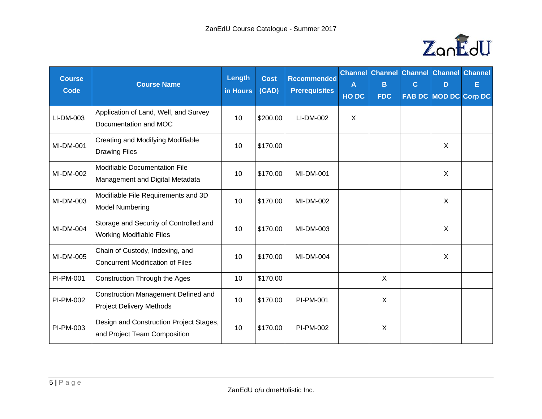

| <b>Course</b><br><b>Code</b> | <b>Course Name</b>                                                            | Length<br>in Hours | <b>Cost</b><br>(CAD) | <b>Recommended</b><br><b>Prerequisites</b> | $\mathsf{A}$<br>HO DC | B<br><b>FDC</b> | $\mathbf C$ | <b>Channel Channel Channel Channel Channel</b><br>D | E<br>FAB DC MOD DC Corp DC |
|------------------------------|-------------------------------------------------------------------------------|--------------------|----------------------|--------------------------------------------|-----------------------|-----------------|-------------|-----------------------------------------------------|----------------------------|
| LI-DM-003                    | Application of Land, Well, and Survey<br>Documentation and MOC                | 10                 | \$200.00             | LI-DM-002                                  | $\sf X$               |                 |             |                                                     |                            |
| <b>MI-DM-001</b>             | Creating and Modifying Modifiable<br><b>Drawing Files</b>                     | 10                 | \$170.00             |                                            |                       |                 |             | $\sf X$                                             |                            |
| MI-DM-002                    | Modifiable Documentation File<br>Management and Digital Metadata              | 10                 | \$170.00             | MI-DM-001                                  |                       |                 |             | $\sf X$                                             |                            |
| MI-DM-003                    | Modifiable File Requirements and 3D<br><b>Model Numbering</b>                 | 10                 | \$170.00             | MI-DM-002                                  |                       |                 |             | $\sf X$                                             |                            |
| MI-DM-004                    | Storage and Security of Controlled and<br><b>Working Modifiable Files</b>     | 10                 | \$170.00             | MI-DM-003                                  |                       |                 |             | $\sf X$                                             |                            |
| MI-DM-005                    | Chain of Custody, Indexing, and<br><b>Concurrent Modification of Files</b>    | 10                 | \$170.00             | MI-DM-004                                  |                       |                 |             | $\sf X$                                             |                            |
| PI-PM-001                    | Construction Through the Ages                                                 | 10                 | \$170.00             |                                            |                       | $\mathsf{X}$    |             |                                                     |                            |
| PI-PM-002                    | <b>Construction Management Defined and</b><br><b>Project Delivery Methods</b> | 10                 | \$170.00             | PI-PM-001                                  |                       | X               |             |                                                     |                            |
| PI-PM-003                    | Design and Construction Project Stages,<br>and Project Team Composition       | 10                 | \$170.00             | PI-PM-002                                  |                       | $\sf X$         |             |                                                     |                            |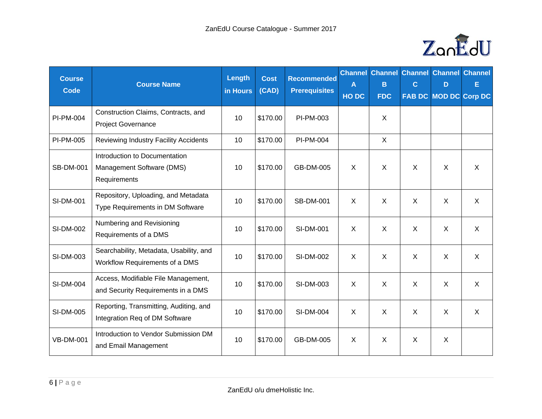

| <b>Course</b><br><b>Code</b> | <b>Course Name</b>                                                         | Length<br>in Hours | <b>Cost</b><br>(CAD) | <b>Recommended</b><br><b>Prerequisites</b> | A<br>HO DC   | B<br><b>FDC</b> | $\mathbf C$  | <b>Channel Channel Channel Channel Channel</b><br>D<br>FAB DC MOD DC Corp DC | Е            |
|------------------------------|----------------------------------------------------------------------------|--------------------|----------------------|--------------------------------------------|--------------|-----------------|--------------|------------------------------------------------------------------------------|--------------|
| PI-PM-004                    | Construction Claims, Contracts, and<br><b>Project Governance</b>           | 10                 | \$170.00             | PI-PM-003                                  |              | $\mathsf{X}$    |              |                                                                              |              |
| PI-PM-005                    | Reviewing Industry Facility Accidents                                      | 10                 | \$170.00             | PI-PM-004                                  |              | $\mathsf{X}$    |              |                                                                              |              |
| <b>SB-DM-001</b>             | Introduction to Documentation<br>Management Software (DMS)<br>Requirements | 10                 | \$170.00             | GB-DM-005                                  | $\sf X$      | $\sf X$         | $\mathsf{X}$ | $\sf X$                                                                      | $\sf X$      |
| SI-DM-001                    | Repository, Uploading, and Metadata<br>Type Requirements in DM Software    | 10                 | \$170.00             | <b>SB-DM-001</b>                           | $\mathsf{X}$ | $\mathsf{X}$    | $\sf X$      | $\mathsf{X}$                                                                 | $\mathsf{X}$ |
| SI-DM-002                    | Numbering and Revisioning<br>Requirements of a DMS                         | 10                 | \$170.00             | <b>SI-DM-001</b>                           | $\mathsf{X}$ | $\mathsf{X}$    | $\mathsf{X}$ | $\sf X$                                                                      | $\mathsf{X}$ |
| SI-DM-003                    | Searchability, Metadata, Usability, and<br>Workflow Requirements of a DMS  | 10                 | \$170.00             | SI-DM-002                                  | $\sf X$      | $\mathsf{X}$    | $\times$     | $\mathsf{X}$                                                                 | $\times$     |
| <b>SI-DM-004</b>             | Access, Modifiable File Management,<br>and Security Requirements in a DMS  | 10                 | \$170.00             | SI-DM-003                                  | $\sf X$      | $\sf X$         | $\sf X$      | $\sf X$                                                                      | $\sf X$      |
| SI-DM-005                    | Reporting, Transmitting, Auditing, and<br>Integration Req of DM Software   | 10                 | \$170.00             | SI-DM-004                                  | X            | X               | X            | X                                                                            | X            |
| <b>VB-DM-001</b>             | Introduction to Vendor Submission DM<br>and Email Management               | 10                 | \$170.00             | GB-DM-005                                  | $\sf X$      | $\mathsf{X}$    | $\sf X$      | $\sf X$                                                                      |              |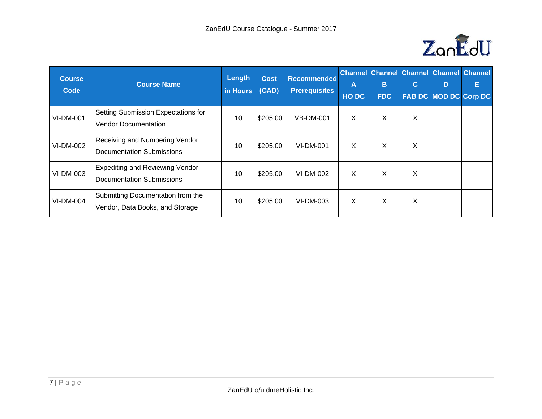

| <b>Course</b><br>Code | <b>Course Name</b>                                                         | Length<br>in Hours | <b>Cost</b><br>(CAD) | <b>Recommended</b><br><b>Prerequisites</b> | A<br><b>HODC</b> | B<br><b>FDC</b> | $\mathbf{C}$ | <b>Channel Channel Channel Channel Channel</b><br>D<br><b>FAB DC MOD DC Corp DC</b> | Е |
|-----------------------|----------------------------------------------------------------------------|--------------------|----------------------|--------------------------------------------|------------------|-----------------|--------------|-------------------------------------------------------------------------------------|---|
| <b>VI-DM-001</b>      | Setting Submission Expectations for<br><b>Vendor Documentation</b>         | 10                 | \$205.00             | <b>VB-DM-001</b>                           | X                | X               | X            |                                                                                     |   |
| VI-DM-002             | Receiving and Numbering Vendor<br><b>Documentation Submissions</b>         | 10                 | \$205.00             | <b>VI-DM-001</b>                           | X                | X               | X            |                                                                                     |   |
| VI-DM-003             | <b>Expediting and Reviewing Vendor</b><br><b>Documentation Submissions</b> | 10                 | \$205.00             | VI-DM-002                                  | X                | X               | X            |                                                                                     |   |
| VI-DM-004             | Submitting Documentation from the<br>Vendor, Data Books, and Storage       | 10                 | \$205.00             | VI-DM-003                                  | $\mathsf{X}$     | X               | X            |                                                                                     |   |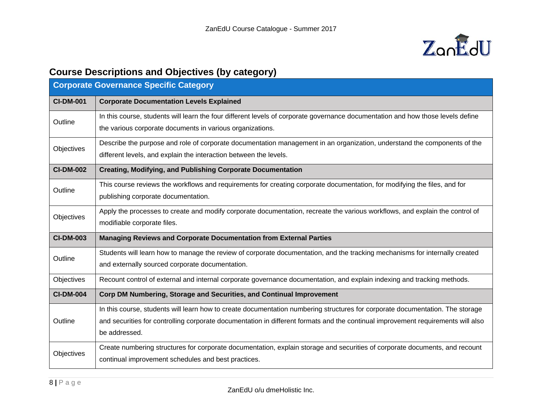

# **Course Descriptions and Objectives (by category)**

| <b>Corporate Governance Specific Category</b> |                                                                                                                                  |  |  |  |
|-----------------------------------------------|----------------------------------------------------------------------------------------------------------------------------------|--|--|--|
| <b>CI-DM-001</b>                              | <b>Corporate Documentation Levels Explained</b>                                                                                  |  |  |  |
| Outline                                       | In this course, students will learn the four different levels of corporate governance documentation and how those levels define  |  |  |  |
|                                               | the various corporate documents in various organizations.                                                                        |  |  |  |
| Objectives                                    | Describe the purpose and role of corporate documentation management in an organization, understand the components of the         |  |  |  |
|                                               | different levels, and explain the interaction between the levels.                                                                |  |  |  |
| <b>CI-DM-002</b>                              | <b>Creating, Modifying, and Publishing Corporate Documentation</b>                                                               |  |  |  |
| Outline                                       | This course reviews the workflows and requirements for creating corporate documentation, for modifying the files, and for        |  |  |  |
|                                               | publishing corporate documentation.                                                                                              |  |  |  |
| Objectives                                    | Apply the processes to create and modify corporate documentation, recreate the various workflows, and explain the control of     |  |  |  |
|                                               | modifiable corporate files.                                                                                                      |  |  |  |
| <b>CI-DM-003</b>                              | Managing Reviews and Corporate Documentation from External Parties                                                               |  |  |  |
| Outline                                       | Students will learn how to manage the review of corporate documentation, and the tracking mechanisms for internally created      |  |  |  |
|                                               | and externally sourced corporate documentation.                                                                                  |  |  |  |
| Objectives                                    | Recount control of external and internal corporate governance documentation, and explain indexing and tracking methods.          |  |  |  |
| <b>CI-DM-004</b>                              | Corp DM Numbering, Storage and Securities, and Continual Improvement                                                             |  |  |  |
|                                               | In this course, students will learn how to create documentation numbering structures for corporate documentation. The storage    |  |  |  |
| Outline                                       | and securities for controlling corporate documentation in different formats and the continual improvement requirements will also |  |  |  |
|                                               | be addressed.                                                                                                                    |  |  |  |
| Objectives                                    | Create numbering structures for corporate documentation, explain storage and securities of corporate documents, and recount      |  |  |  |
|                                               | continual improvement schedules and best practices.                                                                              |  |  |  |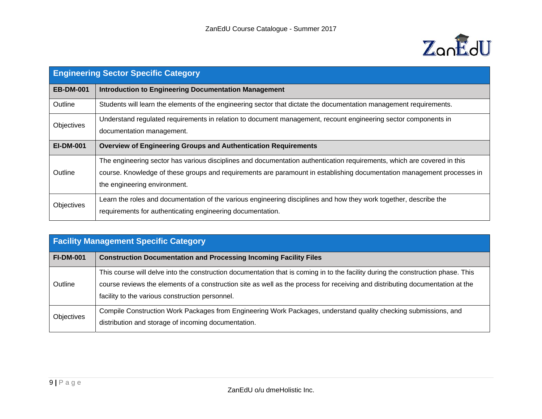

|                  | <b>Engineering Sector Specific Category</b>                                                                                                                                                                                                                                       |  |  |  |  |
|------------------|-----------------------------------------------------------------------------------------------------------------------------------------------------------------------------------------------------------------------------------------------------------------------------------|--|--|--|--|
| <b>EB-DM-001</b> | <b>Introduction to Engineering Documentation Management</b>                                                                                                                                                                                                                       |  |  |  |  |
| Outline          | Students will learn the elements of the engineering sector that dictate the documentation management requirements.                                                                                                                                                                |  |  |  |  |
| Objectives       | Understand regulated requirements in relation to document management, recount engineering sector components in<br>documentation management.                                                                                                                                       |  |  |  |  |
| <b>EI-DM-001</b> | <b>Overview of Engineering Groups and Authentication Requirements</b>                                                                                                                                                                                                             |  |  |  |  |
| Outline          | The engineering sector has various disciplines and documentation authentication requirements, which are covered in this<br>course. Knowledge of these groups and requirements are paramount in establishing documentation management processes in<br>the engineering environment. |  |  |  |  |
| Objectives       | Learn the roles and documentation of the various engineering disciplines and how they work together, describe the<br>requirements for authenticating engineering documentation.                                                                                                   |  |  |  |  |

| <b>Facility Management Specific Category</b> |                                                                                                                                                                                                                                                                                                                      |  |  |
|----------------------------------------------|----------------------------------------------------------------------------------------------------------------------------------------------------------------------------------------------------------------------------------------------------------------------------------------------------------------------|--|--|
| <b>FI-DM-001</b>                             | <b>Construction Documentation and Processing Incoming Facility Files</b>                                                                                                                                                                                                                                             |  |  |
| Outline                                      | This course will delve into the construction documentation that is coming in to the facility during the construction phase. This<br>course reviews the elements of a construction site as well as the process for receiving and distributing documentation at the<br>facility to the various construction personnel. |  |  |
| <b>Objectives</b>                            | Compile Construction Work Packages from Engineering Work Packages, understand quality checking submissions, and<br>distribution and storage of incoming documentation.                                                                                                                                               |  |  |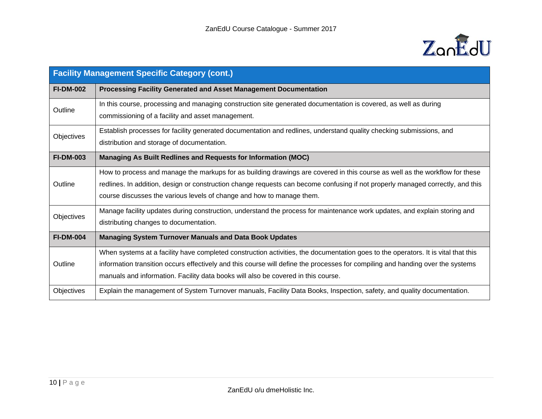

| <b>Facility Management Specific Category (cont.)</b> |                                                                                                                                                                                                                                                                                                                                                          |  |  |  |
|------------------------------------------------------|----------------------------------------------------------------------------------------------------------------------------------------------------------------------------------------------------------------------------------------------------------------------------------------------------------------------------------------------------------|--|--|--|
| <b>FI-DM-002</b>                                     | <b>Processing Facility Generated and Asset Management Documentation</b>                                                                                                                                                                                                                                                                                  |  |  |  |
| Outline                                              | In this course, processing and managing construction site generated documentation is covered, as well as during<br>commissioning of a facility and asset management.                                                                                                                                                                                     |  |  |  |
| Objectives                                           | Establish processes for facility generated documentation and redlines, understand quality checking submissions, and<br>distribution and storage of documentation.                                                                                                                                                                                        |  |  |  |
| <b>FI-DM-003</b>                                     | Managing As Built Redlines and Requests for Information (MOC)                                                                                                                                                                                                                                                                                            |  |  |  |
| Outline                                              | How to process and manage the markups for as building drawings are covered in this course as well as the workflow for these<br>redlines. In addition, design or construction change requests can become confusing if not properly managed correctly, and this<br>course discusses the various levels of change and how to manage them.                   |  |  |  |
| Objectives                                           | Manage facility updates during construction, understand the process for maintenance work updates, and explain storing and<br>distributing changes to documentation.                                                                                                                                                                                      |  |  |  |
| <b>FI-DM-004</b>                                     | <b>Managing System Turnover Manuals and Data Book Updates</b>                                                                                                                                                                                                                                                                                            |  |  |  |
| Outline                                              | When systems at a facility have completed construction activities, the documentation goes to the operators. It is vital that this<br>information transition occurs effectively and this course will define the processes for compiling and handing over the systems<br>manuals and information. Facility data books will also be covered in this course. |  |  |  |
| Objectives                                           | Explain the management of System Turnover manuals, Facility Data Books, Inspection, safety, and quality documentation.                                                                                                                                                                                                                                   |  |  |  |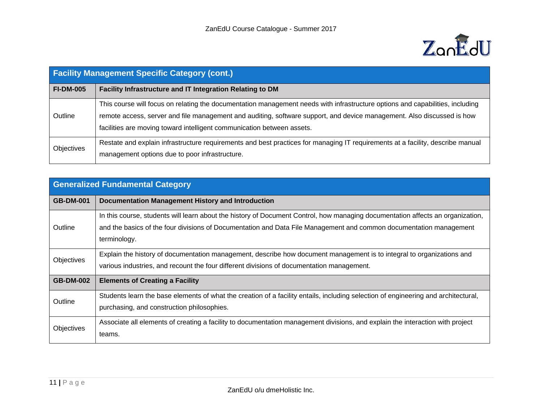

| <b>Facility Management Specific Category (cont.)</b> |                                                                                                                                                                                                                                                                                                                                   |  |  |  |
|------------------------------------------------------|-----------------------------------------------------------------------------------------------------------------------------------------------------------------------------------------------------------------------------------------------------------------------------------------------------------------------------------|--|--|--|
| <b>FI-DM-005</b>                                     | Facility Infrastructure and IT Integration Relating to DM                                                                                                                                                                                                                                                                         |  |  |  |
| Outline                                              | This course will focus on relating the documentation management needs with infrastructure options and capabilities, including<br>remote access, server and file management and auditing, software support, and device management. Also discussed is how<br>facilities are moving toward intelligent communication between assets. |  |  |  |
| <b>Objectives</b>                                    | Restate and explain infrastructure requirements and best practices for managing IT requirements at a facility, describe manual<br>management options due to poor infrastructure.                                                                                                                                                  |  |  |  |

| <b>Generalized Fundamental Category</b> |                                                                                                                                                                                                                                                                      |  |  |  |
|-----------------------------------------|----------------------------------------------------------------------------------------------------------------------------------------------------------------------------------------------------------------------------------------------------------------------|--|--|--|
| <b>GB-DM-001</b>                        | Documentation Management History and Introduction                                                                                                                                                                                                                    |  |  |  |
| Outline                                 | In this course, students will learn about the history of Document Control, how managing documentation affects an organization,<br>and the basics of the four divisions of Documentation and Data File Management and common documentation management<br>terminology. |  |  |  |
| Objectives                              | Explain the history of documentation management, describe how document management is to integral to organizations and<br>various industries, and recount the four different divisions of documentation management.                                                   |  |  |  |
| <b>GB-DM-002</b>                        | <b>Elements of Creating a Facility</b>                                                                                                                                                                                                                               |  |  |  |
| Outline                                 | Students learn the base elements of what the creation of a facility entails, including selection of engineering and architectural,<br>purchasing, and construction philosophies.                                                                                     |  |  |  |
| Objectives                              | Associate all elements of creating a facility to documentation management divisions, and explain the interaction with project<br>teams.                                                                                                                              |  |  |  |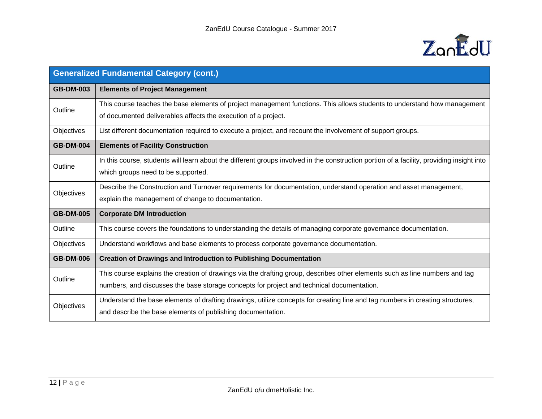

| <b>Generalized Fundamental Category (cont.)</b> |                                                                                                                                           |
|-------------------------------------------------|-------------------------------------------------------------------------------------------------------------------------------------------|
| <b>GB-DM-003</b>                                | <b>Elements of Project Management</b>                                                                                                     |
| Outline                                         | This course teaches the base elements of project management functions. This allows students to understand how management                  |
|                                                 | of documented deliverables affects the execution of a project.                                                                            |
| Objectives                                      | List different documentation required to execute a project, and recount the involvement of support groups.                                |
| <b>GB-DM-004</b>                                | <b>Elements of Facility Construction</b>                                                                                                  |
| Outline                                         | In this course, students will learn about the different groups involved in the construction portion of a facility, providing insight into |
|                                                 | which groups need to be supported.                                                                                                        |
| Objectives                                      | Describe the Construction and Turnover requirements for documentation, understand operation and asset management,                         |
|                                                 | explain the management of change to documentation.                                                                                        |
| <b>GB-DM-005</b>                                | <b>Corporate DM Introduction</b>                                                                                                          |
| Outline                                         | This course covers the foundations to understanding the details of managing corporate governance documentation.                           |
| Objectives                                      | Understand workflows and base elements to process corporate governance documentation.                                                     |
| <b>GB-DM-006</b>                                | <b>Creation of Drawings and Introduction to Publishing Documentation</b>                                                                  |
| Outline                                         | This course explains the creation of drawings via the drafting group, describes other elements such as line numbers and tag               |
|                                                 | numbers, and discusses the base storage concepts for project and technical documentation.                                                 |
| Objectives                                      | Understand the base elements of drafting drawings, utilize concepts for creating line and tag numbers in creating structures,             |
|                                                 | and describe the base elements of publishing documentation.                                                                               |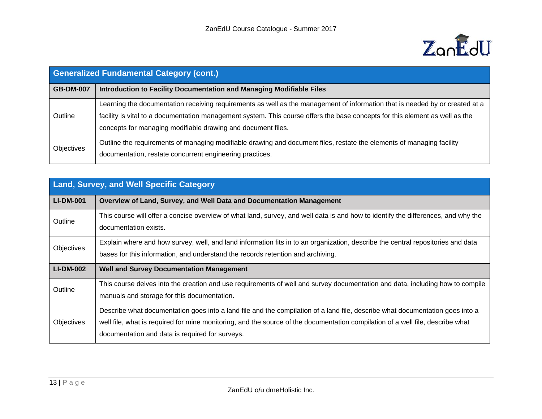

| <b>Generalized Fundamental Category (cont.)</b> |                                                                                                                                                                                                                                                                                                                              |
|-------------------------------------------------|------------------------------------------------------------------------------------------------------------------------------------------------------------------------------------------------------------------------------------------------------------------------------------------------------------------------------|
| <b>GB-DM-007</b>                                | Introduction to Facility Documentation and Managing Modifiable Files                                                                                                                                                                                                                                                         |
| Outline                                         | Learning the documentation receiving requirements as well as the management of information that is needed by or created at a<br>facility is vital to a documentation management system. This course offers the base concepts for this element as well as the<br>concepts for managing modifiable drawing and document files. |
| Objectives                                      | Outline the requirements of managing modifiable drawing and document files, restate the elements of managing facility<br>documentation, restate concurrent engineering practices.                                                                                                                                            |

| <b>Land, Survey, and Well Specific Category</b> |                                                                                                                                                                                                                                                                                                                    |
|-------------------------------------------------|--------------------------------------------------------------------------------------------------------------------------------------------------------------------------------------------------------------------------------------------------------------------------------------------------------------------|
| <b>LI-DM-001</b>                                | Overview of Land, Survey, and Well Data and Documentation Management                                                                                                                                                                                                                                               |
| Outline                                         | This course will offer a concise overview of what land, survey, and well data is and how to identify the differences, and why the<br>documentation exists.                                                                                                                                                         |
| Objectives                                      | Explain where and how survey, well, and land information fits in to an organization, describe the central repositories and data<br>bases for this information, and understand the records retention and archiving.                                                                                                 |
| <b>LI-DM-002</b>                                | <b>Well and Survey Documentation Management</b>                                                                                                                                                                                                                                                                    |
| Outline                                         | This course delves into the creation and use requirements of well and survey documentation and data, including how to compile<br>manuals and storage for this documentation.                                                                                                                                       |
| Objectives                                      | Describe what documentation goes into a land file and the compilation of a land file, describe what documentation goes into a<br>well file, what is required for mine monitoring, and the source of the documentation compilation of a well file, describe what<br>documentation and data is required for surveys. |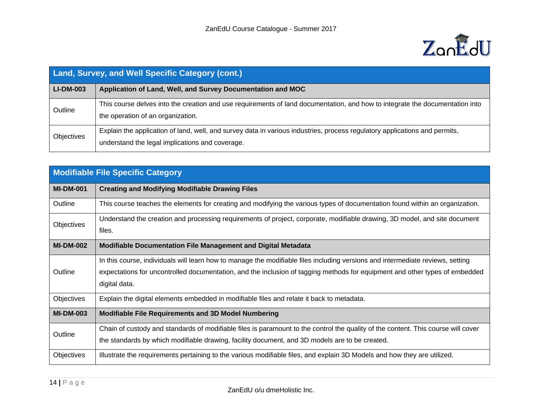

| Land, Survey, and Well Specific Category (cont.) |                                                                                                                                                                               |
|--------------------------------------------------|-------------------------------------------------------------------------------------------------------------------------------------------------------------------------------|
| <b>LI-DM-003</b>                                 | Application of Land, Well, and Survey Documentation and MOC                                                                                                                   |
| Outline                                          | This course delves into the creation and use requirements of land documentation, and how to integrate the documentation into<br>the operation of an organization.             |
| <b>Objectives</b>                                | Explain the application of land, well, and survey data in various industries, process regulatory applications and permits,<br>understand the legal implications and coverage. |

| <b>Modifiable File Specific Category</b> |                                                                                                                                                                                                                                                                                |
|------------------------------------------|--------------------------------------------------------------------------------------------------------------------------------------------------------------------------------------------------------------------------------------------------------------------------------|
| <b>MI-DM-001</b>                         | <b>Creating and Modifying Modifiable Drawing Files</b>                                                                                                                                                                                                                         |
| Outline                                  | This course teaches the elements for creating and modifying the various types of documentation found within an organization.                                                                                                                                                   |
| Objectives                               | Understand the creation and processing requirements of project, corporate, modifiable drawing, 3D model, and site document<br>files.                                                                                                                                           |
| <b>MI-DM-002</b>                         | <b>Modifiable Documentation File Management and Digital Metadata</b>                                                                                                                                                                                                           |
| Outline                                  | In this course, individuals will learn how to manage the modifiable files including versions and intermediate reviews, setting<br>expectations for uncontrolled documentation, and the inclusion of tagging methods for equipment and other types of embedded<br>digital data. |
| Objectives                               | Explain the digital elements embedded in modifiable files and relate it back to metadata.                                                                                                                                                                                      |
| <b>MI-DM-003</b>                         | <b>Modifiable File Requirements and 3D Model Numbering</b>                                                                                                                                                                                                                     |
| Outline                                  | Chain of custody and standards of modifiable files is paramount to the control the quality of the content. This course will cover<br>the standards by which modifiable drawing, facility document, and 3D models are to be created.                                            |
| Objectives                               | Illustrate the requirements pertaining to the various modifiable files, and explain 3D Models and how they are utilized.                                                                                                                                                       |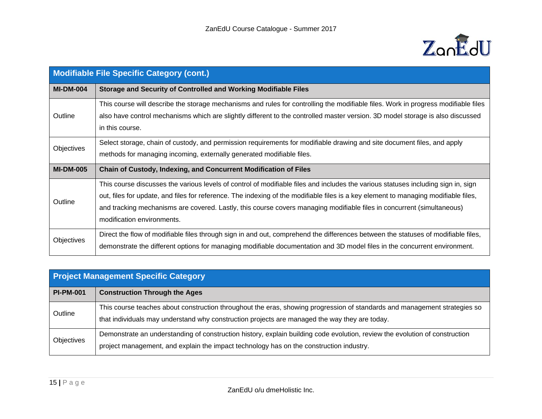

| <b>Modifiable File Specific Category (cont.)</b> |                                                                                                                                                                                                                                                                                                                                                                                                                                  |
|--------------------------------------------------|----------------------------------------------------------------------------------------------------------------------------------------------------------------------------------------------------------------------------------------------------------------------------------------------------------------------------------------------------------------------------------------------------------------------------------|
| <b>MI-DM-004</b>                                 | Storage and Security of Controlled and Working Modifiable Files                                                                                                                                                                                                                                                                                                                                                                  |
| Outline                                          | This course will describe the storage mechanisms and rules for controlling the modifiable files. Work in progress modifiable files<br>also have control mechanisms which are slightly different to the controlled master version. 3D model storage is also discussed<br>in this course.                                                                                                                                          |
| Objectives                                       | Select storage, chain of custody, and permission requirements for modifiable drawing and site document files, and apply<br>methods for managing incoming, externally generated modifiable files.                                                                                                                                                                                                                                 |
| <b>MI-DM-005</b>                                 | <b>Chain of Custody, Indexing, and Concurrent Modification of Files</b>                                                                                                                                                                                                                                                                                                                                                          |
| Outline                                          | This course discusses the various levels of control of modifiable files and includes the various statuses including sign in, sign<br>out, files for update, and files for reference. The indexing of the modifiable files is a key element to managing modifiable files,<br>and tracking mechanisms are covered. Lastly, this course covers managing modifiable files in concurrent (simultaneous)<br>modification environments. |
| <b>Objectives</b>                                | Direct the flow of modifiable files through sign in and out, comprehend the differences between the statuses of modifiable files,<br>demonstrate the different options for managing modifiable documentation and 3D model files in the concurrent environment.                                                                                                                                                                   |

| <b>Project Management Specific Category</b> |                                                                                                                                                                                                                            |
|---------------------------------------------|----------------------------------------------------------------------------------------------------------------------------------------------------------------------------------------------------------------------------|
| <b>PI-PM-001</b>                            | <b>Construction Through the Ages</b>                                                                                                                                                                                       |
| Outline                                     | This course teaches about construction throughout the eras, showing progression of standards and management strategies so<br>that individuals may understand why construction projects are managed the way they are today. |
| Objectives                                  | Demonstrate an understanding of construction history, explain building code evolution, review the evolution of construction<br>project management, and explain the impact technology has on the construction industry.     |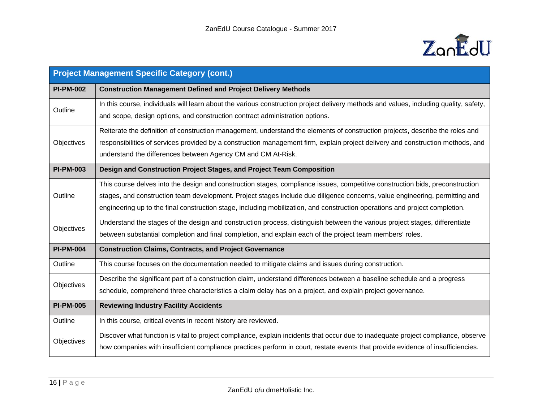

| <b>Project Management Specific Category (cont.)</b> |                                                                                                                                       |
|-----------------------------------------------------|---------------------------------------------------------------------------------------------------------------------------------------|
| <b>PI-PM-002</b>                                    | <b>Construction Management Defined and Project Delivery Methods</b>                                                                   |
| Outline                                             | In this course, individuals will learn about the various construction project delivery methods and values, including quality, safety, |
|                                                     | and scope, design options, and construction contract administration options.                                                          |
|                                                     | Reiterate the definition of construction management, understand the elements of construction projects, describe the roles and         |
| Objectives                                          | responsibilities of services provided by a construction management firm, explain project delivery and construction methods, and       |
|                                                     | understand the differences between Agency CM and CM At-Risk.                                                                          |
| <b>PI-PM-003</b>                                    | Design and Construction Project Stages, and Project Team Composition                                                                  |
|                                                     | This course delves into the design and construction stages, compliance issues, competitive construction bids, preconstruction         |
| Outline                                             | stages, and construction team development. Project stages include due diligence concerns, value engineering, permitting and           |
|                                                     | engineering up to the final construction stage, including mobilization, and construction operations and project completion.           |
| Objectives                                          | Understand the stages of the design and construction process, distinguish between the various project stages, differentiate           |
|                                                     | between substantial completion and final completion, and explain each of the project team members' roles.                             |
| <b>PI-PM-004</b>                                    | <b>Construction Claims, Contracts, and Project Governance</b>                                                                         |
| Outline                                             | This course focuses on the documentation needed to mitigate claims and issues during construction.                                    |
| Objectives                                          | Describe the significant part of a construction claim, understand differences between a baseline schedule and a progress              |
|                                                     | schedule, comprehend three characteristics a claim delay has on a project, and explain project governance.                            |
| <b>PI-PM-005</b>                                    | <b>Reviewing Industry Facility Accidents</b>                                                                                          |
| Outline                                             | In this course, critical events in recent history are reviewed.                                                                       |
|                                                     | Discover what function is vital to project compliance, explain incidents that occur due to inadequate project compliance, observe     |
| Objectives                                          | how companies with insufficient compliance practices perform in court, restate events that provide evidence of insufficiencies.       |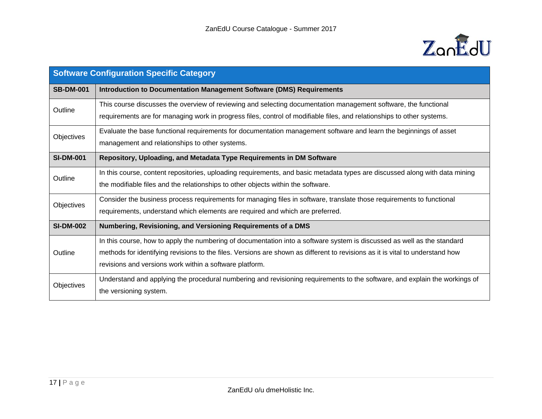

| <b>Software Configuration Specific Category</b> |                                                                                                                               |
|-------------------------------------------------|-------------------------------------------------------------------------------------------------------------------------------|
| <b>SB-DM-001</b>                                | <b>Introduction to Documentation Management Software (DMS) Requirements</b>                                                   |
| Outline                                         | This course discusses the overview of reviewing and selecting documentation management software, the functional               |
|                                                 | requirements are for managing work in progress files, control of modifiable files, and relationships to other systems.        |
| Objectives                                      | Evaluate the base functional requirements for documentation management software and learn the beginnings of asset             |
|                                                 | management and relationships to other systems.                                                                                |
| <b>SI-DM-001</b>                                | Repository, Uploading, and Metadata Type Requirements in DM Software                                                          |
| Outline                                         | In this course, content repositories, uploading requirements, and basic metadata types are discussed along with data mining   |
|                                                 | the modifiable files and the relationships to other objects within the software.                                              |
| Objectives                                      | Consider the business process requirements for managing files in software, translate those requirements to functional         |
|                                                 | requirements, understand which elements are required and which are preferred.                                                 |
| <b>SI-DM-002</b>                                | Numbering, Revisioning, and Versioning Requirements of a DMS                                                                  |
|                                                 | In this course, how to apply the numbering of documentation into a software system is discussed as well as the standard       |
| Outline                                         | methods for identifying revisions to the files. Versions are shown as different to revisions as it is vital to understand how |
|                                                 | revisions and versions work within a software platform.                                                                       |
| Objectives                                      | Understand and applying the procedural numbering and revisioning requirements to the software, and explain the workings of    |
|                                                 | the versioning system.                                                                                                        |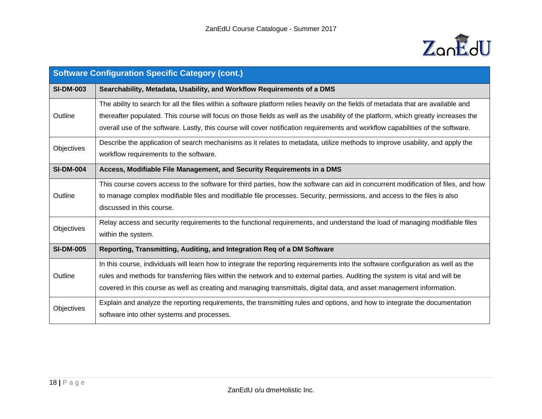

| <b>Software Configuration Specific Category (cont.)</b> |                                                                                                                                    |
|---------------------------------------------------------|------------------------------------------------------------------------------------------------------------------------------------|
| <b>SI-DM-003</b>                                        | Searchability, Metadata, Usability, and Workflow Requirements of a DMS                                                             |
|                                                         | The ability to search for all the files within a software platform relies heavily on the fields of metadata that are available and |
| Outline                                                 | thereafter populated. This course will focus on those fields as well as the usability of the platform, which greatly increases the |
|                                                         | overall use of the software. Lastly, this course will cover notification requirements and workflow capabilities of the software.   |
| Objectives                                              | Describe the application of search mechanisms as it relates to metadata, utilize methods to improve usability, and apply the       |
|                                                         | workflow requirements to the software.                                                                                             |
| <b>SI-DM-004</b>                                        | Access, Modifiable File Management, and Security Requirements in a DMS                                                             |
|                                                         | This course covers access to the software for third parties, how the software can aid in concurrent modification of files, and how |
| Outline                                                 | to manage complex modifiable files and modifiable file processes. Security, permissions, and access to the files is also           |
|                                                         | discussed in this course.                                                                                                          |
| Objectives                                              | Relay access and security requirements to the functional requirements, and understand the load of managing modifiable files        |
|                                                         | within the system.                                                                                                                 |
| <b>SI-DM-005</b>                                        | Reporting, Transmitting, Auditing, and Integration Req of a DM Software                                                            |
|                                                         | In this course, individuals will learn how to integrate the reporting requirements into the software configuration as well as the  |
| Outline                                                 | rules and methods for transferring files within the network and to external parties. Auditing the system is vital and will be      |
|                                                         | covered in this course as well as creating and managing transmittals, digital data, and asset management information.              |
| Objectives                                              | Explain and analyze the reporting requirements, the transmitting rules and options, and how to integrate the documentation         |
|                                                         | software into other systems and processes.                                                                                         |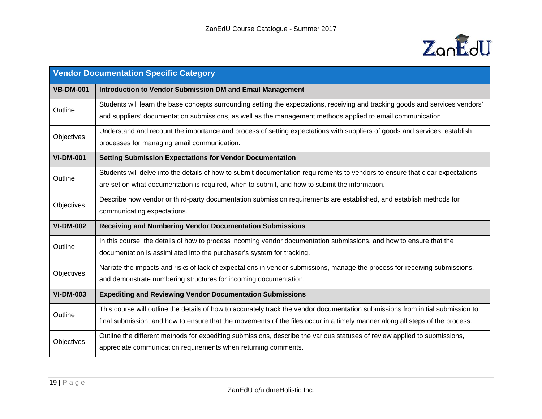

| <b>Vendor Documentation Specific Category</b> |                                                                                                                                                                                                                                                                 |
|-----------------------------------------------|-----------------------------------------------------------------------------------------------------------------------------------------------------------------------------------------------------------------------------------------------------------------|
| <b>VB-DM-001</b>                              | <b>Introduction to Vendor Submission DM and Email Management</b>                                                                                                                                                                                                |
| Outline                                       | Students will learn the base concepts surrounding setting the expectations, receiving and tracking goods and services vendors'<br>and suppliers' documentation submissions, as well as the management methods applied to email communication.                   |
| Objectives                                    | Understand and recount the importance and process of setting expectations with suppliers of goods and services, establish<br>processes for managing email communication.                                                                                        |
| <b>VI-DM-001</b>                              | <b>Setting Submission Expectations for Vendor Documentation</b>                                                                                                                                                                                                 |
| Outline                                       | Students will delve into the details of how to submit documentation requirements to vendors to ensure that clear expectations<br>are set on what documentation is required, when to submit, and how to submit the information.                                  |
| Objectives                                    | Describe how vendor or third-party documentation submission requirements are established, and establish methods for<br>communicating expectations.                                                                                                              |
| <b>VI-DM-002</b>                              | <b>Receiving and Numbering Vendor Documentation Submissions</b>                                                                                                                                                                                                 |
| Outline                                       | In this course, the details of how to process incoming vendor documentation submissions, and how to ensure that the<br>documentation is assimilated into the purchaser's system for tracking.                                                                   |
| Objectives                                    | Narrate the impacts and risks of lack of expectations in vendor submissions, manage the process for receiving submissions,<br>and demonstrate numbering structures for incoming documentation.                                                                  |
| <b>VI-DM-003</b>                              | <b>Expediting and Reviewing Vendor Documentation Submissions</b>                                                                                                                                                                                                |
| Outline                                       | This course will outline the details of how to accurately track the vendor documentation submissions from initial submission to<br>final submission, and how to ensure that the movements of the files occur in a timely manner along all steps of the process. |
| Objectives                                    | Outline the different methods for expediting submissions, describe the various statuses of review applied to submissions,<br>appreciate communication requirements when returning comments.                                                                     |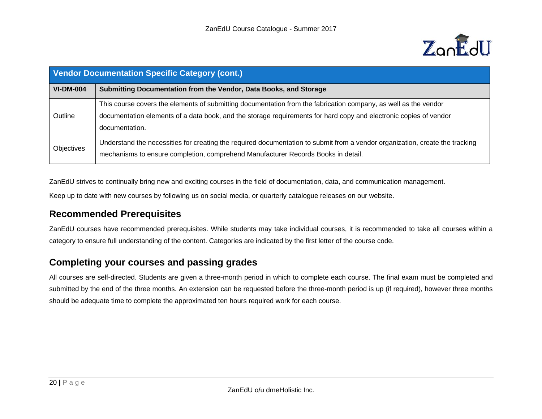

| <b>Vendor Documentation Specific Category (cont.)</b> |                                                                                                                                                                                                                                                        |
|-------------------------------------------------------|--------------------------------------------------------------------------------------------------------------------------------------------------------------------------------------------------------------------------------------------------------|
| <b>VI-DM-004</b>                                      | Submitting Documentation from the Vendor, Data Books, and Storage                                                                                                                                                                                      |
| Outline                                               | This course covers the elements of submitting documentation from the fabrication company, as well as the vendor<br>documentation elements of a data book, and the storage requirements for hard copy and electronic copies of vendor<br>documentation. |
| <b>Objectives</b>                                     | Understand the necessities for creating the required documentation to submit from a vendor organization, create the tracking<br>mechanisms to ensure completion, comprehend Manufacturer Records Books in detail.                                      |

ZanEdU strives to continually bring new and exciting courses in the field of documentation, data, and communication management.

Keep up to date with new courses by following us on social media, or quarterly catalogue releases on our website.

#### **Recommended Prerequisites**

ZanEdU courses have recommended prerequisites. While students may take individual courses, it is recommended to take all courses within a category to ensure full understanding of the content. Categories are indicated by the first letter of the course code.

### **Completing your courses and passing grades**

All courses are self-directed. Students are given a three-month period in which to complete each course. The final exam must be completed and submitted by the end of the three months. An extension can be requested before the three-month period is up (if required), however three months should be adequate time to complete the approximated ten hours required work for each course.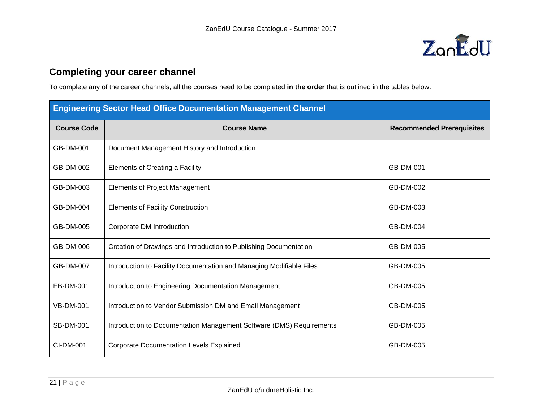

## **Completing your career channel**

To complete any of the career channels, all the courses need to be completed **in the order** that is outlined in the tables below.

| <b>Engineering Sector Head Office Documentation Management Channel</b> |                                                                      |                                  |
|------------------------------------------------------------------------|----------------------------------------------------------------------|----------------------------------|
| <b>Course Code</b>                                                     | <b>Course Name</b>                                                   | <b>Recommended Prerequisites</b> |
| GB-DM-001                                                              | Document Management History and Introduction                         |                                  |
| GB-DM-002                                                              | Elements of Creating a Facility                                      | GB-DM-001                        |
| GB-DM-003                                                              | <b>Elements of Project Management</b>                                | GB-DM-002                        |
| GB-DM-004                                                              | <b>Elements of Facility Construction</b>                             | GB-DM-003                        |
| GB-DM-005                                                              | Corporate DM Introduction                                            | GB-DM-004                        |
| GB-DM-006                                                              | Creation of Drawings and Introduction to Publishing Documentation    | GB-DM-005                        |
| GB-DM-007                                                              | Introduction to Facility Documentation and Managing Modifiable Files | GB-DM-005                        |
| <b>EB-DM-001</b>                                                       | Introduction to Engineering Documentation Management                 | GB-DM-005                        |
| <b>VB-DM-001</b>                                                       | Introduction to Vendor Submission DM and Email Management            | GB-DM-005                        |
| <b>SB-DM-001</b>                                                       | Introduction to Documentation Management Software (DMS) Requirements | GB-DM-005                        |
| CI-DM-001                                                              | <b>Corporate Documentation Levels Explained</b>                      | GB-DM-005                        |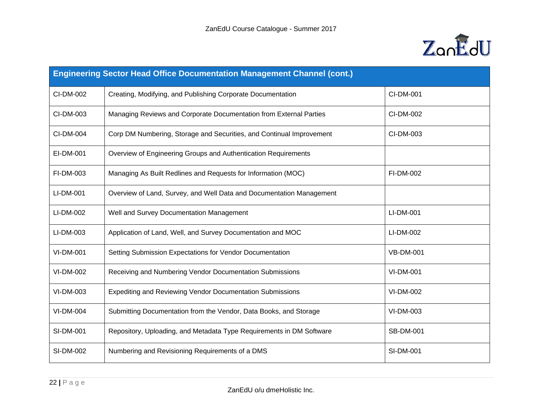

| <b>Engineering Sector Head Office Documentation Management Channel (cont.)</b> |                                                                      |                  |
|--------------------------------------------------------------------------------|----------------------------------------------------------------------|------------------|
| CI-DM-002                                                                      | Creating, Modifying, and Publishing Corporate Documentation          | CI-DM-001        |
| CI-DM-003                                                                      | Managing Reviews and Corporate Documentation from External Parties   | CI-DM-002        |
| CI-DM-004                                                                      | Corp DM Numbering, Storage and Securities, and Continual Improvement | CI-DM-003        |
| EI-DM-001                                                                      | Overview of Engineering Groups and Authentication Requirements       |                  |
| FI-DM-003                                                                      | Managing As Built Redlines and Requests for Information (MOC)        | FI-DM-002        |
| LI-DM-001                                                                      | Overview of Land, Survey, and Well Data and Documentation Management |                  |
| LI-DM-002                                                                      | Well and Survey Documentation Management                             | LI-DM-001        |
| LI-DM-003                                                                      | Application of Land, Well, and Survey Documentation and MOC          | LI-DM-002        |
| <b>VI-DM-001</b>                                                               | Setting Submission Expectations for Vendor Documentation             | <b>VB-DM-001</b> |
| VI-DM-002                                                                      | Receiving and Numbering Vendor Documentation Submissions             | VI-DM-001        |
| VI-DM-003                                                                      | <b>Expediting and Reviewing Vendor Documentation Submissions</b>     | VI-DM-002        |
| <b>VI-DM-004</b>                                                               | Submitting Documentation from the Vendor, Data Books, and Storage    | VI-DM-003        |
| <b>SI-DM-001</b>                                                               | Repository, Uploading, and Metadata Type Requirements in DM Software | <b>SB-DM-001</b> |
| SI-DM-002                                                                      | Numbering and Revisioning Requirements of a DMS                      | SI-DM-001        |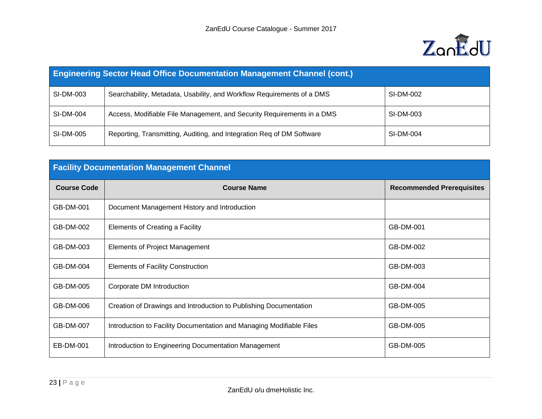

| <b>Engineering Sector Head Office Documentation Management Channel (cont.)</b> |                                                                        |           |
|--------------------------------------------------------------------------------|------------------------------------------------------------------------|-----------|
| SI-DM-003                                                                      | Searchability, Metadata, Usability, and Workflow Requirements of a DMS | SI-DM-002 |
| SI-DM-004                                                                      | Access, Modifiable File Management, and Security Requirements in a DMS | SI-DM-003 |
| SI-DM-005                                                                      | Reporting, Transmitting, Auditing, and Integration Req of DM Software  | SI-DM-004 |

| <b>Facility Documentation Management Channel</b> |                                                                      |                                  |
|--------------------------------------------------|----------------------------------------------------------------------|----------------------------------|
| <b>Course Code</b>                               | <b>Course Name</b>                                                   | <b>Recommended Prerequisites</b> |
| GB-DM-001                                        | Document Management History and Introduction                         |                                  |
| GB-DM-002                                        | Elements of Creating a Facility                                      | GB-DM-001                        |
| GB-DM-003                                        | <b>Elements of Project Management</b>                                | GB-DM-002                        |
| GB-DM-004                                        | <b>Elements of Facility Construction</b>                             | GB-DM-003                        |
| GB-DM-005                                        | Corporate DM Introduction                                            | GB-DM-004                        |
| GB-DM-006                                        | Creation of Drawings and Introduction to Publishing Documentation    | GB-DM-005                        |
| GB-DM-007                                        | Introduction to Facility Documentation and Managing Modifiable Files | GB-DM-005                        |
| EB-DM-001                                        | Introduction to Engineering Documentation Management                 | GB-DM-005                        |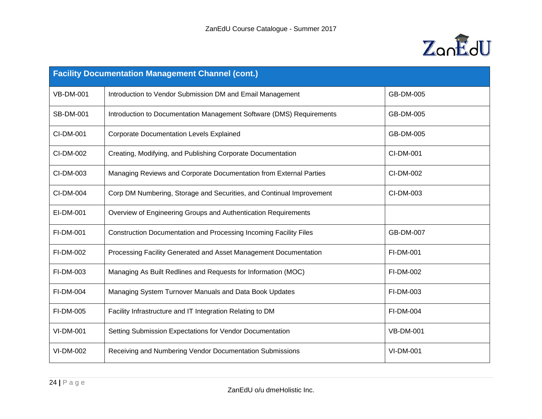

| <b>Facility Documentation Management Channel (cont.)</b> |                                                                      |                  |
|----------------------------------------------------------|----------------------------------------------------------------------|------------------|
| <b>VB-DM-001</b>                                         | Introduction to Vendor Submission DM and Email Management            | GB-DM-005        |
| <b>SB-DM-001</b>                                         | Introduction to Documentation Management Software (DMS) Requirements | GB-DM-005        |
| CI-DM-001                                                | <b>Corporate Documentation Levels Explained</b>                      | GB-DM-005        |
| CI-DM-002                                                | Creating, Modifying, and Publishing Corporate Documentation          | CI-DM-001        |
| CI-DM-003                                                | Managing Reviews and Corporate Documentation from External Parties   | CI-DM-002        |
| CI-DM-004                                                | Corp DM Numbering, Storage and Securities, and Continual Improvement | CI-DM-003        |
| EI-DM-001                                                | Overview of Engineering Groups and Authentication Requirements       |                  |
| <b>FI-DM-001</b>                                         | Construction Documentation and Processing Incoming Facility Files    | <b>GB-DM-007</b> |
| FI-DM-002                                                | Processing Facility Generated and Asset Management Documentation     | FI-DM-001        |
| FI-DM-003                                                | Managing As Built Redlines and Requests for Information (MOC)        | FI-DM-002        |
| FI-DM-004                                                | Managing System Turnover Manuals and Data Book Updates               | FI-DM-003        |
| FI-DM-005                                                | Facility Infrastructure and IT Integration Relating to DM            | FI-DM-004        |
| <b>VI-DM-001</b>                                         | Setting Submission Expectations for Vendor Documentation             | <b>VB-DM-001</b> |
| VI-DM-002                                                | Receiving and Numbering Vendor Documentation Submissions             | <b>VI-DM-001</b> |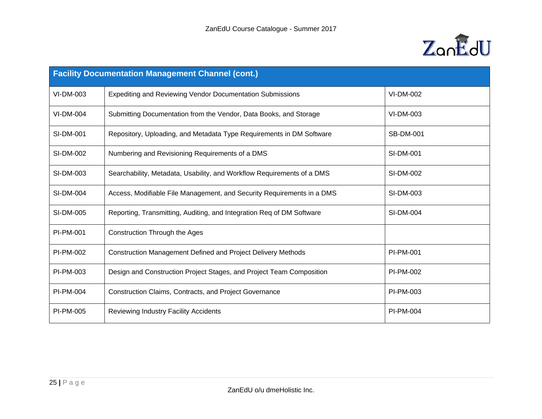

| <b>Facility Documentation Management Channel (cont.)</b> |                                                                        |                  |
|----------------------------------------------------------|------------------------------------------------------------------------|------------------|
| VI-DM-003                                                | <b>Expediting and Reviewing Vendor Documentation Submissions</b>       | <b>VI-DM-002</b> |
| <b>VI-DM-004</b>                                         | Submitting Documentation from the Vendor, Data Books, and Storage      | VI-DM-003        |
| <b>SI-DM-001</b>                                         | Repository, Uploading, and Metadata Type Requirements in DM Software   | <b>SB-DM-001</b> |
| SI-DM-002                                                | Numbering and Revisioning Requirements of a DMS                        | SI-DM-001        |
| SI-DM-003                                                | Searchability, Metadata, Usability, and Workflow Requirements of a DMS | SI-DM-002        |
| SI-DM-004                                                | Access, Modifiable File Management, and Security Requirements in a DMS | SI-DM-003        |
| SI-DM-005                                                | Reporting, Transmitting, Auditing, and Integration Req of DM Software  | <b>SI-DM-004</b> |
| <b>PI-PM-001</b>                                         | <b>Construction Through the Ages</b>                                   |                  |
| PI-PM-002                                                | <b>Construction Management Defined and Project Delivery Methods</b>    | PI-PM-001        |
| PI-PM-003                                                | Design and Construction Project Stages, and Project Team Composition   | <b>PI-PM-002</b> |
| <b>PI-PM-004</b>                                         | <b>Construction Claims, Contracts, and Project Governance</b>          | PI-PM-003        |
| PI-PM-005                                                | <b>Reviewing Industry Facility Accidents</b>                           | <b>PI-PM-004</b> |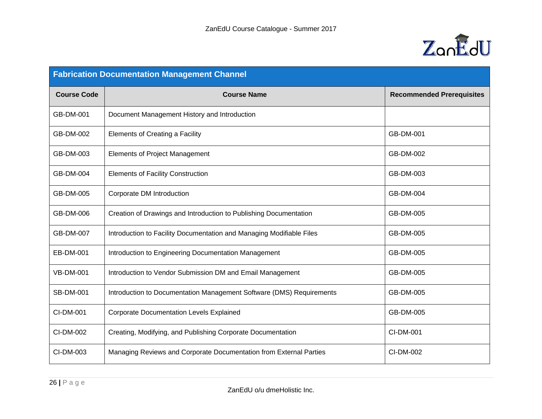

| <b>Fabrication Documentation Management Channel</b> |                                                                      |                                  |
|-----------------------------------------------------|----------------------------------------------------------------------|----------------------------------|
| <b>Course Code</b>                                  | <b>Course Name</b>                                                   | <b>Recommended Prerequisites</b> |
| GB-DM-001                                           | Document Management History and Introduction                         |                                  |
| GB-DM-002                                           | Elements of Creating a Facility                                      | GB-DM-001                        |
| GB-DM-003                                           | <b>Elements of Project Management</b>                                | GB-DM-002                        |
| <b>GB-DM-004</b>                                    | <b>Elements of Facility Construction</b>                             | GB-DM-003                        |
| GB-DM-005                                           | Corporate DM Introduction                                            | GB-DM-004                        |
| GB-DM-006                                           | Creation of Drawings and Introduction to Publishing Documentation    | GB-DM-005                        |
| <b>GB-DM-007</b>                                    | Introduction to Facility Documentation and Managing Modifiable Files | GB-DM-005                        |
| EB-DM-001                                           | Introduction to Engineering Documentation Management                 | GB-DM-005                        |
| <b>VB-DM-001</b>                                    | Introduction to Vendor Submission DM and Email Management            | GB-DM-005                        |
| <b>SB-DM-001</b>                                    | Introduction to Documentation Management Software (DMS) Requirements | GB-DM-005                        |
| CI-DM-001                                           | <b>Corporate Documentation Levels Explained</b>                      | GB-DM-005                        |
| CI-DM-002                                           | Creating, Modifying, and Publishing Corporate Documentation          | CI-DM-001                        |
| CI-DM-003                                           | Managing Reviews and Corporate Documentation from External Parties   | CI-DM-002                        |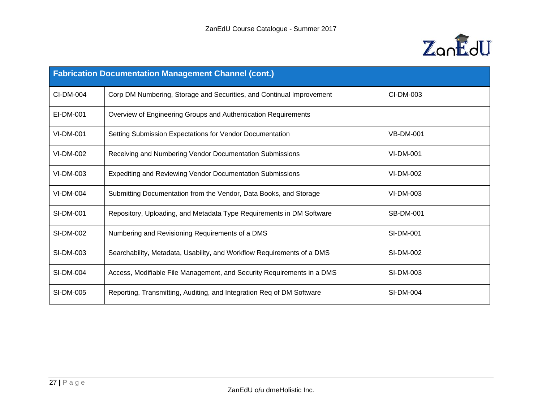

| <b>Fabrication Documentation Management Channel (cont.)</b> |                                                                        |                  |
|-------------------------------------------------------------|------------------------------------------------------------------------|------------------|
| CI-DM-004                                                   | Corp DM Numbering, Storage and Securities, and Continual Improvement   | CI-DM-003        |
| EI-DM-001                                                   | Overview of Engineering Groups and Authentication Requirements         |                  |
| <b>VI-DM-001</b>                                            | Setting Submission Expectations for Vendor Documentation               | <b>VB-DM-001</b> |
| VI-DM-002                                                   | Receiving and Numbering Vendor Documentation Submissions               | <b>VI-DM-001</b> |
| VI-DM-003                                                   | <b>Expediting and Reviewing Vendor Documentation Submissions</b>       | VI-DM-002        |
| <b>VI-DM-004</b>                                            | Submitting Documentation from the Vendor, Data Books, and Storage      | VI-DM-003        |
| <b>SI-DM-001</b>                                            | Repository, Uploading, and Metadata Type Requirements in DM Software   | <b>SB-DM-001</b> |
| SI-DM-002                                                   | Numbering and Revisioning Requirements of a DMS                        | <b>SI-DM-001</b> |
| SI-DM-003                                                   | Searchability, Metadata, Usability, and Workflow Requirements of a DMS | SI-DM-002        |
| <b>SI-DM-004</b>                                            | Access, Modifiable File Management, and Security Requirements in a DMS | SI-DM-003        |
| SI-DM-005                                                   | Reporting, Transmitting, Auditing, and Integration Req of DM Software  | <b>SI-DM-004</b> |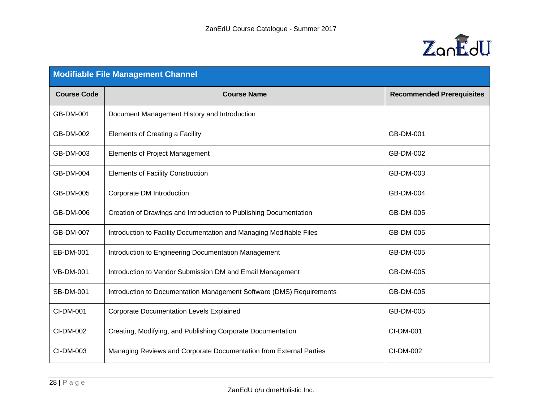

| <b>Modifiable File Management Channel</b> |                                                                      |                                  |
|-------------------------------------------|----------------------------------------------------------------------|----------------------------------|
| <b>Course Code</b>                        | <b>Course Name</b>                                                   | <b>Recommended Prerequisites</b> |
| GB-DM-001                                 | Document Management History and Introduction                         |                                  |
| GB-DM-002                                 | Elements of Creating a Facility                                      | GB-DM-001                        |
| GB-DM-003                                 | <b>Elements of Project Management</b>                                | GB-DM-002                        |
| <b>GB-DM-004</b>                          | <b>Elements of Facility Construction</b>                             | GB-DM-003                        |
| GB-DM-005                                 | Corporate DM Introduction                                            | GB-DM-004                        |
| GB-DM-006                                 | Creation of Drawings and Introduction to Publishing Documentation    | GB-DM-005                        |
| GB-DM-007                                 | Introduction to Facility Documentation and Managing Modifiable Files | GB-DM-005                        |
| EB-DM-001                                 | Introduction to Engineering Documentation Management                 | GB-DM-005                        |
| <b>VB-DM-001</b>                          | Introduction to Vendor Submission DM and Email Management            | GB-DM-005                        |
| <b>SB-DM-001</b>                          | Introduction to Documentation Management Software (DMS) Requirements | GB-DM-005                        |
| CI-DM-001                                 | <b>Corporate Documentation Levels Explained</b>                      | GB-DM-005                        |
| CI-DM-002                                 | Creating, Modifying, and Publishing Corporate Documentation          | CI-DM-001                        |
| CI-DM-003                                 | Managing Reviews and Corporate Documentation from External Parties   | CI-DM-002                        |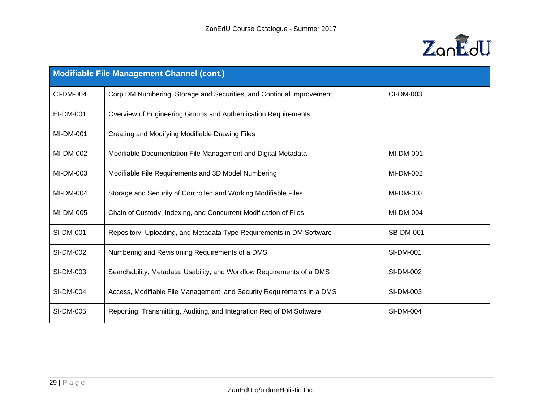

| <b>Modifiable File Management Channel (cont.)</b> |                                                                        |                  |
|---------------------------------------------------|------------------------------------------------------------------------|------------------|
| CI-DM-004                                         | Corp DM Numbering, Storage and Securities, and Continual Improvement   | CI-DM-003        |
| EI-DM-001                                         | Overview of Engineering Groups and Authentication Requirements         |                  |
| <b>MI-DM-001</b>                                  | Creating and Modifying Modifiable Drawing Files                        |                  |
| MI-DM-002                                         | Modifiable Documentation File Management and Digital Metadata          | MI-DM-001        |
| MI-DM-003                                         | Modifiable File Requirements and 3D Model Numbering                    | MI-DM-002        |
| MI-DM-004                                         | Storage and Security of Controlled and Working Modifiable Files        | MI-DM-003        |
| MI-DM-005                                         | Chain of Custody, Indexing, and Concurrent Modification of Files       | MI-DM-004        |
| <b>SI-DM-001</b>                                  | Repository, Uploading, and Metadata Type Requirements in DM Software   | <b>SB-DM-001</b> |
| SI-DM-002                                         | Numbering and Revisioning Requirements of a DMS                        | <b>SI-DM-001</b> |
| SI-DM-003                                         | Searchability, Metadata, Usability, and Workflow Requirements of a DMS | SI-DM-002        |
| <b>SI-DM-004</b>                                  | Access, Modifiable File Management, and Security Requirements in a DMS | SI-DM-003        |
| <b>SI-DM-005</b>                                  | Reporting, Transmitting, Auditing, and Integration Req of DM Software  | SI-DM-004        |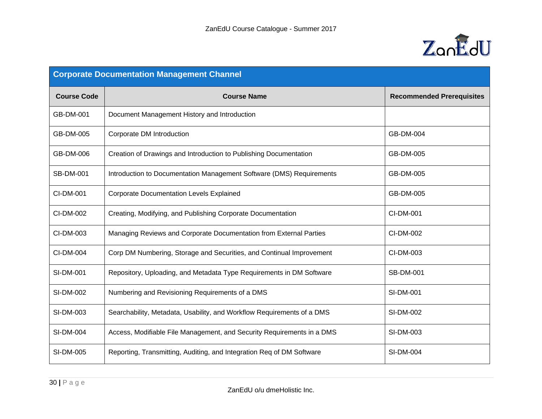

| <b>Corporate Documentation Management Channel</b> |                                                                        |                                  |
|---------------------------------------------------|------------------------------------------------------------------------|----------------------------------|
| <b>Course Code</b>                                | <b>Course Name</b>                                                     | <b>Recommended Prerequisites</b> |
| GB-DM-001                                         | Document Management History and Introduction                           |                                  |
| GB-DM-005                                         | Corporate DM Introduction                                              | GB-DM-004                        |
| GB-DM-006                                         | Creation of Drawings and Introduction to Publishing Documentation      | GB-DM-005                        |
| <b>SB-DM-001</b>                                  | Introduction to Documentation Management Software (DMS) Requirements   | GB-DM-005                        |
| CI-DM-001                                         | <b>Corporate Documentation Levels Explained</b>                        | GB-DM-005                        |
| CI-DM-002                                         | Creating, Modifying, and Publishing Corporate Documentation            | CI-DM-001                        |
| CI-DM-003                                         | Managing Reviews and Corporate Documentation from External Parties     | CI-DM-002                        |
| CI-DM-004                                         | Corp DM Numbering, Storage and Securities, and Continual Improvement   | CI-DM-003                        |
| SI-DM-001                                         | Repository, Uploading, and Metadata Type Requirements in DM Software   | <b>SB-DM-001</b>                 |
| SI-DM-002                                         | Numbering and Revisioning Requirements of a DMS                        | <b>SI-DM-001</b>                 |
| SI-DM-003                                         | Searchability, Metadata, Usability, and Workflow Requirements of a DMS | SI-DM-002                        |
| <b>SI-DM-004</b>                                  | Access, Modifiable File Management, and Security Requirements in a DMS | SI-DM-003                        |
| SI-DM-005                                         | Reporting, Transmitting, Auditing, and Integration Req of DM Software  | <b>SI-DM-004</b>                 |